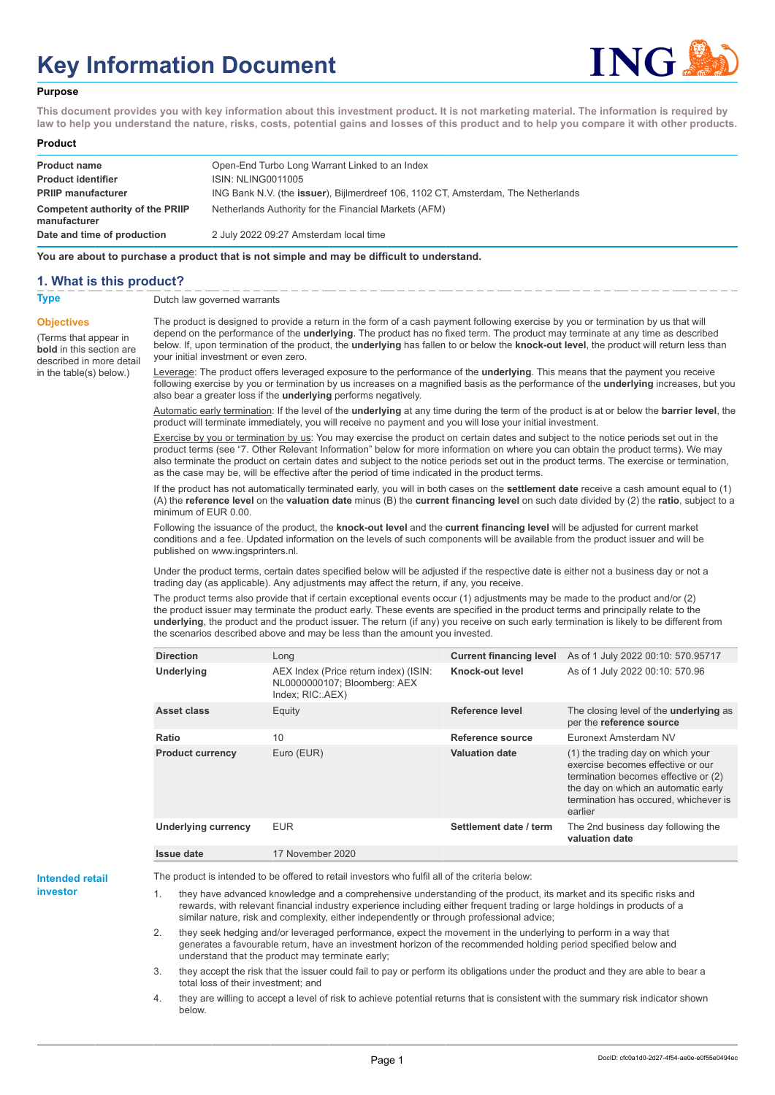# **Key Information Document**



#### **Purpose**

**This document provides you with key information about this investment product. It is not marketing material. The information is required by law to help you understand the nature, risks, costs, potential gains and losses of this product and to help you compare it with other products.**

#### **Product**

| <b>Product name</b><br><b>Product identifier</b> | Open-End Turbo Long Warrant Linked to an Index<br><b>ISIN: NLING0011005</b>               |
|--------------------------------------------------|-------------------------------------------------------------------------------------------|
| <b>PRIIP manufacturer</b>                        | ING Bank N.V. (the <b>issuer</b> ), Bijlmerdreef 106, 1102 CT, Amsterdam, The Netherlands |
| Competent authority of the PRIIP<br>manufacturer | Netherlands Authority for the Financial Markets (AFM)                                     |
| Date and time of production                      | 2 July 2022 09:27 Amsterdam local time                                                    |

**You are about to purchase a product that is not simple and may be difficult to understand.**

### **1. What is this product?**

**Objectives**

(Terms that appear in **bold** in this section are

in the table(s) below.)

**Type** Dutch law governed warrants

described in more detail The product is designed to provide a return in the form of a cash payment following exercise by you or termination by us that will depend on the performance of the **underlying**. The product has no fixed term. The product may terminate at any time as described below. If, upon termination of the product, the **underlying** has fallen to or below the **knock-out level**, the product will return less than your initial investment or even zero.

> Leverage: The product offers leveraged exposure to the performance of the **underlying**. This means that the payment you receive following exercise by you or termination by us increases on a magnified basis as the performance of the **underlying** increases, but you also bear a greater loss if the **underlying** performs negatively.

> Automatic early termination: If the level of the **underlying** at any time during the term of the product is at or below the **barrier level**, the product will terminate immediately, you will receive no payment and you will lose your initial investment.

> Exercise by you or termination by us: You may exercise the product on certain dates and subject to the notice periods set out in the product terms (see "7. Other Relevant Information" below for more information on where you can obtain the product terms). We may also terminate the product on certain dates and subject to the notice periods set out in the product terms. The exercise or termination, as the case may be, will be effective after the period of time indicated in the product terms.

> If the product has not automatically terminated early, you will in both cases on the **settlement date** receive a cash amount equal to (1) (A) the **reference level** on the **valuation date** minus (B) the **current financing level** on such date divided by (2) the **ratio**, subject to a minimum of EUR 0.00.

Following the issuance of the product, the **knock-out level** and the **current financing level** will be adjusted for current market conditions and a fee. Updated information on the levels of such components will be available from the product issuer and will be published on www.ingsprinters.nl.

Under the product terms, certain dates specified below will be adjusted if the respective date is either not a business day or not a trading day (as applicable). Any adjustments may affect the return, if any, you receive.

The product terms also provide that if certain exceptional events occur (1) adjustments may be made to the product and/or (2) the product issuer may terminate the product early. These events are specified in the product terms and principally relate to the **underlying**, the product and the product issuer. The return (if any) you receive on such early termination is likely to be different from the scenarios described above and may be less than the amount you invested.

| <b>Direction</b>           | Long                                                                                      | <b>Current financing level</b> | As of 1 July 2022 00:10: 570.95717                                                                                                                                                                        |
|----------------------------|-------------------------------------------------------------------------------------------|--------------------------------|-----------------------------------------------------------------------------------------------------------------------------------------------------------------------------------------------------------|
| <b>Underlying</b>          | AEX Index (Price return index) (ISIN:<br>NL0000000107; Bloomberg: AEX<br>Index; RIC: AEX) | Knock-out level                | As of 1 July 2022 00:10: 570.96                                                                                                                                                                           |
| Asset class                | Equity                                                                                    | Reference level                | The closing level of the <b>underlying</b> as<br>per the reference source                                                                                                                                 |
| Ratio                      | 10                                                                                        | Reference source               | Euronext Amsterdam NV                                                                                                                                                                                     |
| <b>Product currency</b>    | Euro (EUR)                                                                                | <b>Valuation date</b>          | (1) the trading day on which your<br>exercise becomes effective or our<br>termination becomes effective or (2)<br>the day on which an automatic early<br>termination has occured, whichever is<br>earlier |
| <b>Underlying currency</b> | <b>EUR</b>                                                                                | Settlement date / term         | The 2nd business day following the<br>valuation date                                                                                                                                                      |
| Issue date                 | 17 November 2020                                                                          |                                |                                                                                                                                                                                                           |

**Intended retail investor**

The product is intended to be offered to retail investors who fulfil all of the criteria below:

they have advanced knowledge and a comprehensive understanding of the product, its market and its specific risks and rewards, with relevant financial industry experience including either frequent trading or large holdings in products of a similar nature, risk and complexity, either independently or through professional advice;

2. they seek hedging and/or leveraged performance, expect the movement in the underlying to perform in a way that generates a favourable return, have an investment horizon of the recommended holding period specified below and understand that the product may terminate early;

3. they accept the risk that the issuer could fail to pay or perform its obligations under the product and they are able to bear a total loss of their investment; and

4. they are willing to accept a level of risk to achieve potential returns that is consistent with the summary risk indicator shown below.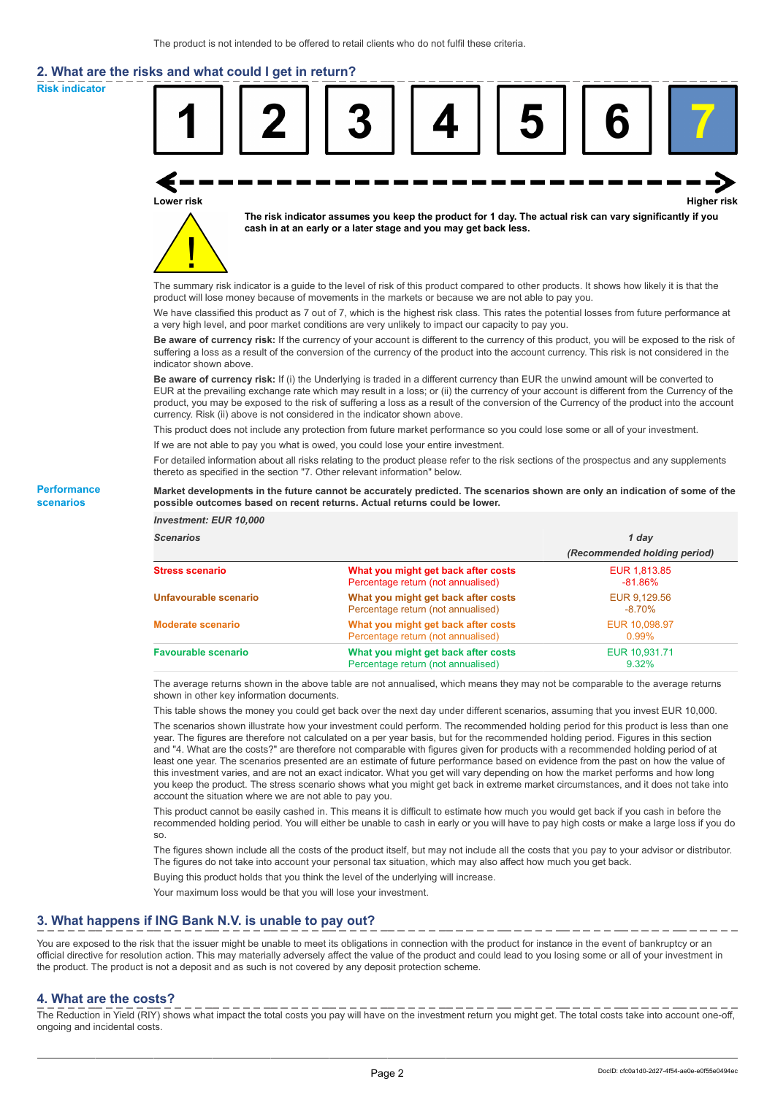# **2. What are the risks and what could I get in return?**

**Risk indicator**

**Performance scenarios**



thereto as specified in the section "7. Other relevant information" below.

#### **Market developments in the future cannot be accurately predicted. The scenarios shown are only an indication of some of the possible outcomes based on recent returns. Actual returns could be lower.**

| <b>Investment: EUR 10,000</b> |                                                                           |                              |
|-------------------------------|---------------------------------------------------------------------------|------------------------------|
| <b>Scenarios</b>              |                                                                           | 1 day                        |
|                               |                                                                           | (Recommended holding period) |
| <b>Stress scenario</b>        | What you might get back after costs<br>Percentage return (not annualised) | EUR 1,813.85<br>$-81.86%$    |
| Unfavourable scenario         | What you might get back after costs<br>Percentage return (not annualised) | EUR 9.129.56<br>$-8.70%$     |
| <b>Moderate scenario</b>      | What you might get back after costs<br>Percentage return (not annualised) | EUR 10.098.97<br>$0.99\%$    |
| <b>Favourable scenario</b>    | What you might get back after costs<br>Percentage return (not annualised) | EUR 10.931.71<br>9.32%       |

The average returns shown in the above table are not annualised, which means they may not be comparable to the average returns shown in other key information documents.

This table shows the money you could get back over the next day under different scenarios, assuming that you invest EUR 10,000.

The scenarios shown illustrate how your investment could perform. The recommended holding period for this product is less than one year. The figures are therefore not calculated on a per year basis, but for the recommended holding period. Figures in this section and "4. What are the costs?" are therefore not comparable with figures given for products with a recommended holding period of at least one year. The scenarios presented are an estimate of future performance based on evidence from the past on how the value of this investment varies, and are not an exact indicator. What you get will vary depending on how the market performs and how long you keep the product. The stress scenario shows what you might get back in extreme market circumstances, and it does not take into account the situation where we are not able to pay you.

This product cannot be easily cashed in. This means it is difficult to estimate how much you would get back if you cash in before the recommended holding period. You will either be unable to cash in early or you will have to pay high costs or make a large loss if you do so.

The figures shown include all the costs of the product itself, but may not include all the costs that you pay to your advisor or distributor. The figures do not take into account your personal tax situation, which may also affect how much you get back.

Buying this product holds that you think the level of the underlying will increase.

Your maximum loss would be that you will lose your investment.

## **3. What happens if ING Bank N.V. is unable to pay out?**

You are exposed to the risk that the issuer might be unable to meet its obligations in connection with the product for instance in the event of bankruptcy or an official directive for resolution action. This may materially adversely affect the value of the product and could lead to you losing some or all of your investment in the product. The product is not a deposit and as such is not covered by any deposit protection scheme.

### **4. What are the costs?**

The Reduction in Yield (RIY) shows what impact the total costs you pay will have on the investment return you might get. The total costs take into account one-off, ongoing and incidental costs.